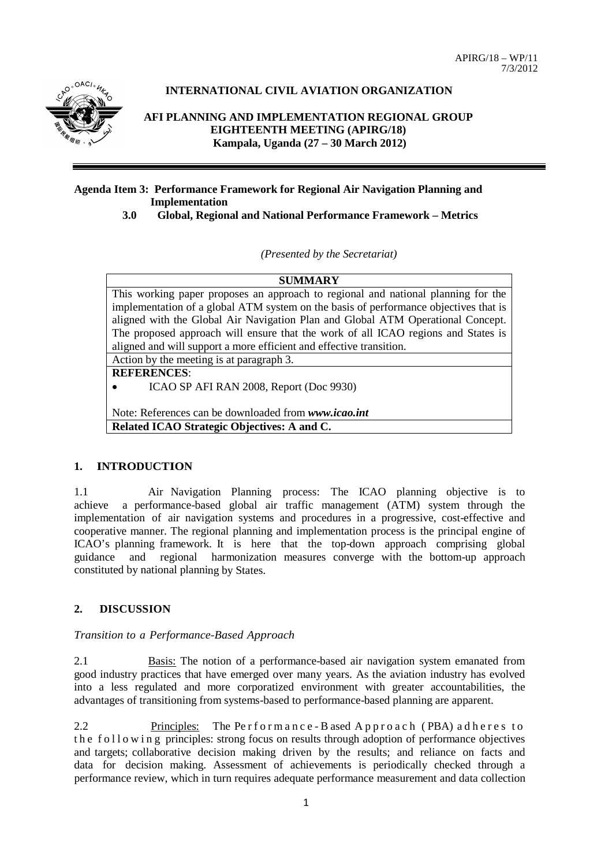APIRG/18 – WP/11 7/3/2012



# **INTERNATIONAL CIVIL AVIATION ORGANIZATION**

**AFI PLANNING AND IMPLEMENTATION REGIONAL GROUP EIGHTEENTH MEETING (APIRG/18) Kampala, Uganda (27 – 30 March 2012)**

# **Agenda Item 3: Performance Framework for Regional Air Navigation Planning and 1918 Implementation**<br>**3.0 Global, Region**

 **3.0 Global, Regional and National Performance Framework – Metrics**

*(Presented by the Secretariat)*

**SUMMARY**

This working paper proposes an approach to regional and national planning for the implementation of a global ATM system on the basis of performance objectives that is aligned with the Global Air Navigation Plan and Global ATM Operational Concept. The proposed approach will ensure that the work of all ICAO regions and States is aligned and will support a more efficient and effective transition.

Action by the meeting is at paragraph 3.

**REFERENCES**:

• ICAO SP AFI RAN 2008, Report (Doc 9930)

Note: References can be downloaded from *www.icao.int*

**Related ICAO Strategic Objectives: A and C.**

# **1. INTRODUCTION**

1.1 Air Navigation Planning process: The ICAO planning objective is to achieve a performance-based global air traffic management (ATM) system through the implementation of air navigation systems and procedures in a progressive, cost-effective and cooperative manner. The regional planning and implementation process is the principal engine of ICAO's planning framework. It is here that the top-down approach comprising global guidance and regional harmonization measures converge with the bottom-up approach constituted by national planning by States.

# **2. DISCUSSION**

#### *Transition to a Performance-Based Approach*

2.1 Basis: The notion of a performance-based air navigation system emanated from good industry practices that have emerged over many years. As the aviation industry has evolved into a less regulated and more corporatized environment with greater accountabilities, the advantages of transitioning from systems-based to performance-based planning are apparent.

2.2 Principles: The Performance - B ased Approach (PBA) adheres to the following principles: strong focus on results through adoption of performance objectives and targets; collaborative decision making driven by the results; and reliance on facts and data for decision making. Assessment of achievements is periodically checked through a performance review, which in turn requires adequate performance measurement and data collection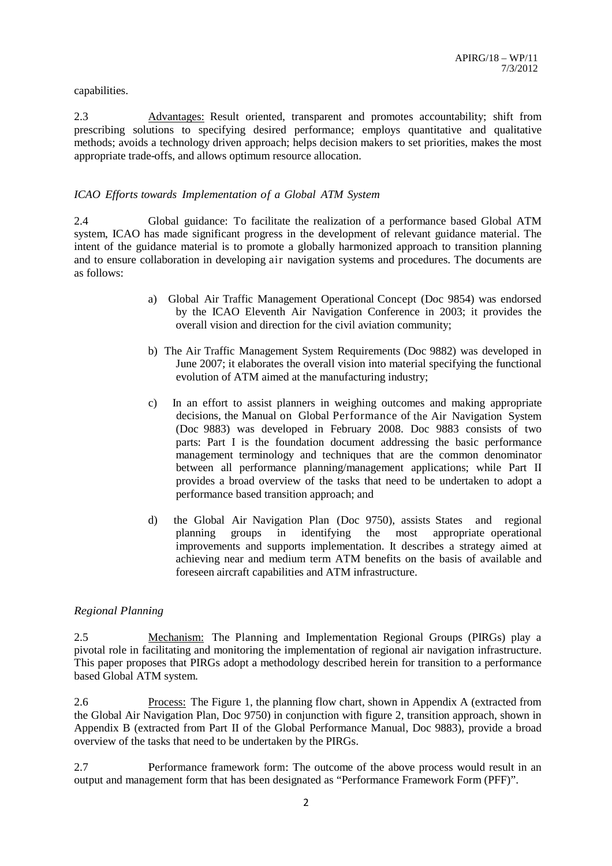#### capabilities.

2.3 Advantages: Result oriented, transparent and promotes accountability; shift from prescribing solutions to specifying desired performance; employs quantitative and qualitative methods; avoids a technology driven approach; helps decision makers to set priorities, makes the most appropriate trade-offs, and allows optimum resource allocation.

#### *ICAO Efforts towards Implementation of a Global ATM System*

2.4 Global guidance: To facilitate the realization of a performance based Global ATM system, ICAO has made significant progress in the development of relevant guidance material. The intent of the guidance material is to promote a globally harmonized approach to transition planning and to ensure collaboration in developing air navigation systems and procedures. The documents are as follows:

- a) Global Air Traffic Management Operational Concept (Doc 9854) was endorsed by the ICAO Eleventh Air Navigation Conference in 2003; it provides the overall vision and direction for the civil aviation community;
- b) The Air Traffic Management System Requirements (Doc 9882) was developed in June 2007; it elaborates the overall vision into material specifying the functional evolution of ATM aimed at the manufacturing industry;
- c) In an effort to assist planners in weighing outcomes and making appropriate decisions, the Manual on Global Performance of the Air Navigation System (Doc 9883) was developed in February 2008. Doc 9883 consists of two parts: Part I is the foundation document addressing the basic performance management terminology and techniques that are the common denominator between all performance planning/management applications; while Part II provides a broad overview of the tasks that need to be undertaken to adopt a performance based transition approach; and
- d) the Global Air Navigation Plan (Doc 9750), assists States and regional planning groups in identifying the most appropriate operational improvements and supports implementation. It describes a strategy aimed at achieving near and medium term ATM benefits on the basis of available and foreseen aircraft capabilities and ATM infrastructure.

#### *Regional Planning*

2.5 Mechanism: The Planning and Implementation Regional Groups (PIRGs) play a pivotal role in facilitating and monitoring the implementation of regional air navigation infrastructure. This paper proposes that PIRGs adopt a methodology described herein for transition to a performance based Global ATM system.

2.6 Process: The Figure 1, the planning flow chart, shown in Appendix A (extracted from the Global Air Navigation Plan, Doc 9750) in conjunction with figure 2, transition approach, shown in Appendix B (extracted from Part II of the Global Performance Manual, Doc 9883), provide a broad overview of the tasks that need to be undertaken by the PIRGs.

2.7 Performance framework form: The outcome of the above process would result in an output and management form that has been designated as "Performance Framework Form (PFF)".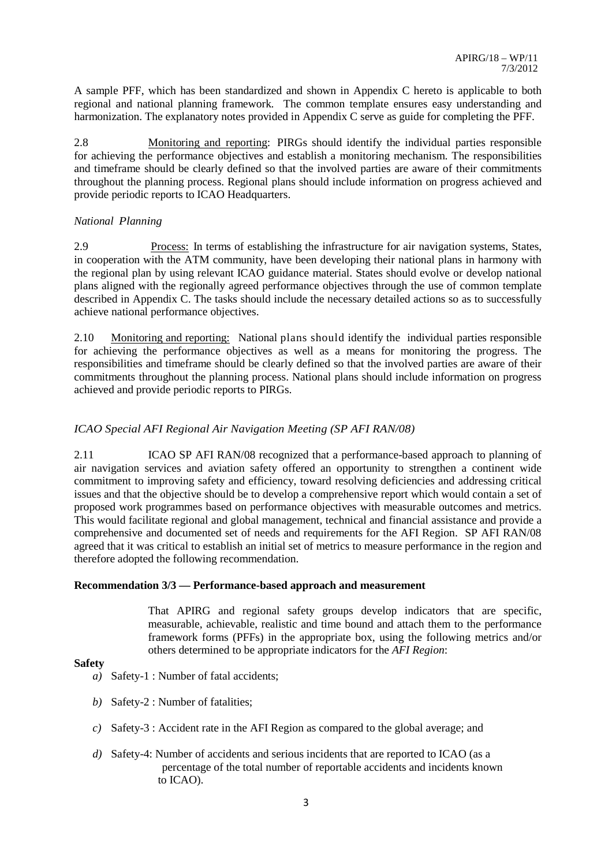A sample PFF, which has been standardized and shown in Appendix C hereto is applicable to both regional and national planning framework. The common template ensures easy understanding and harmonization. The explanatory notes provided in Appendix C serve as guide for completing the PFF.

2.8 Monitoring and reporting: PIRGs should identify the individual parties responsible for achieving the performance objectives and establish a monitoring mechanism. The responsibilities and timeframe should be clearly defined so that the involved parties are aware of their commitments throughout the planning process. Regional plans should include information on progress achieved and provide periodic reports to ICAO Headquarters.

## *National Planning*

2.9 Process: In terms of establishing the infrastructure for air navigation systems, States, in cooperation with the ATM community, have been developing their national plans in harmony with the regional plan by using relevant ICAO guidance material. States should evolve or develop national plans aligned with the regionally agreed performance objectives through the use of common template described in Appendix C. The tasks should include the necessary detailed actions so as to successfully achieve national performance objectives.

2.10 Monitoring and reporting: National plans should identify the individual parties responsible for achieving the performance objectives as well as a means for monitoring the progress. The responsibilities and timeframe should be clearly defined so that the involved parties are aware of their commitments throughout the planning process. National plans should include information on progress achieved and provide periodic reports to PIRGs.

# *ICAO Special AFI Regional Air Navigation Meeting (SP AFI RAN/08)*

2.11 ICAO SP AFI RAN/08 recognized that a performance-based approach to planning of air navigation services and aviation safety offered an opportunity to strengthen a continent wide commitment to improving safety and efficiency, toward resolving deficiencies and addressing critical issues and that the objective should be to develop a comprehensive report which would contain a set of proposed work programmes based on performance objectives with measurable outcomes and metrics. This would facilitate regional and global management, technical and financial assistance and provide a comprehensive and documented set of needs and requirements for the AFI Region. SP AFI RAN/08 agreed that it was critical to establish an initial set of metrics to measure performance in the region and therefore adopted the following recommendation.

#### **Recommendation 3/3 — Performance-based approach and measurement**

That APIRG and regional safety groups develop indicators that are specific, measurable, achievable, realistic and time bound and attach them to the performance framework forms (PFFs) in the appropriate box, using the following metrics and/or others determined to be appropriate indicators for the *AFI Region*:

#### **Safety**

- *a)* Safety-1 : Number of fatal accidents;
- *b)* Safety-2 : Number of fatalities;
- *c)* Safety-3 : Accident rate in the AFI Region as compared to the global average; and
- *d)* Safety-4: Number of accidents and serious incidents that are reported to ICAO (as a percentage of the total number of reportable accidents and incidents known to ICAO).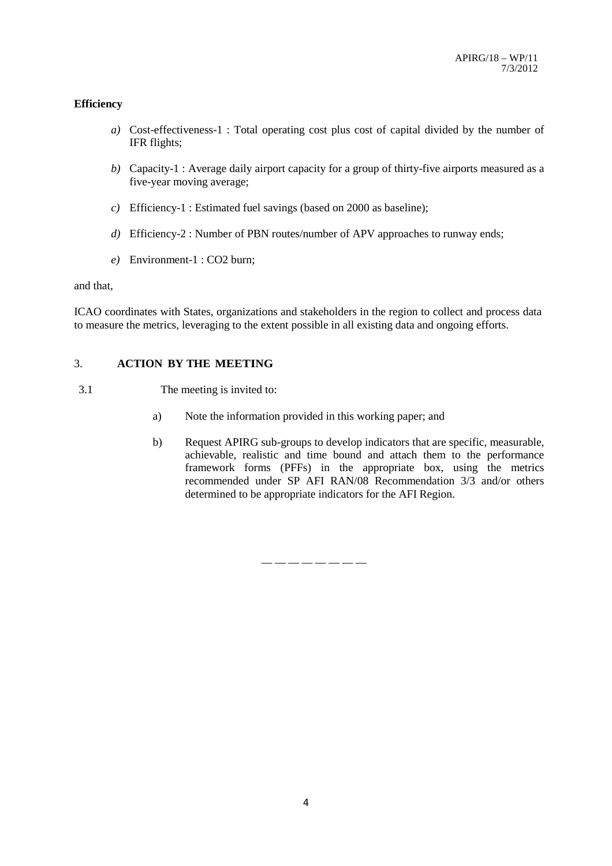## **Efficiency**

- *a)* Cost-effectiveness-1 : Total operating cost plus cost of capital divided by the number of IFR flights;
- *b)* Capacity-1 : Average daily airport capacity for a group of thirty-five airports measured as a five-year moving average;
- *c)* Efficiency-1 : Estimated fuel savings (based on 2000 as baseline);
- *d)* Efficiency-2 : Number of PBN routes/number of APV approaches to runway ends;
- *e)* Environment-1 : CO2 burn;

and that,

ICAO coordinates with States, organizations and stakeholders in the region to collect and process data to measure the metrics, leveraging to the extent possible in all existing data and ongoing efforts.

## 3. **ACTION BY THE MEETING**

- 3.1 The meeting is invited to:
	- a) Note the information provided in this working paper; and
	- b) Request APIRG sub-groups to develop indicators that are specific, measurable, achievable, realistic and time bound and attach them to the performance framework forms (PFFs) in the appropriate box, using the metrics recommended under SP AFI RAN/08 Recommendation 3/3 and/or others determined to be appropriate indicators for the AFI Region.

— — — — — — — —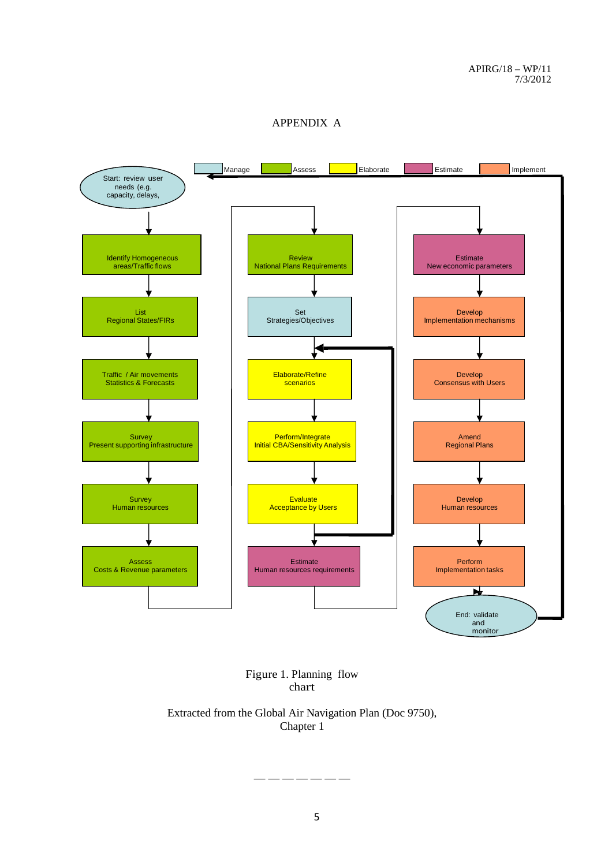APPENDIX A



Figure 1. Planning flow chart

Extracted from the Global Air Navigation Plan (Doc 9750), Chapter 1

— — — — — — —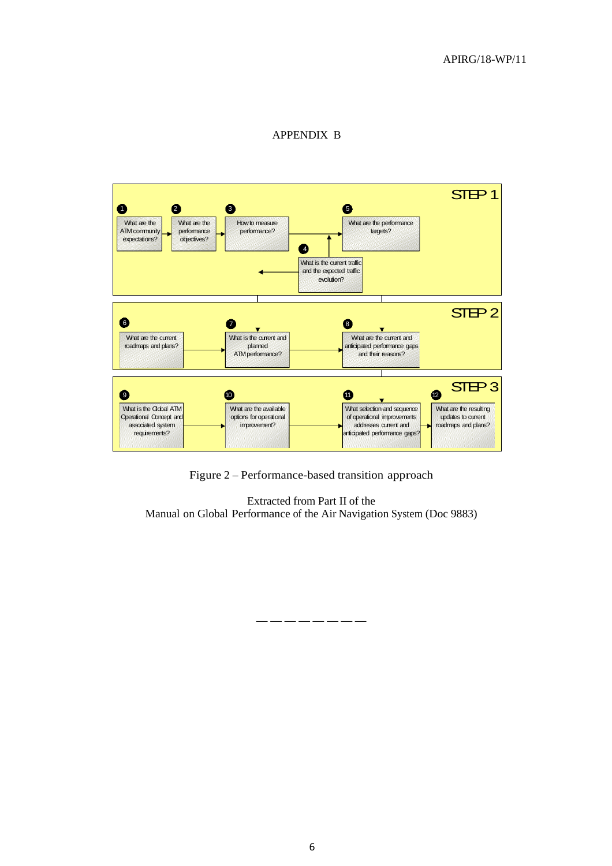# APPENDIX B



Figure 2 – Performance-based transition approach

Extracted from Part II of the Manual on Global Performance of the Air Navigation System (Doc 9883)

— — — — — — — —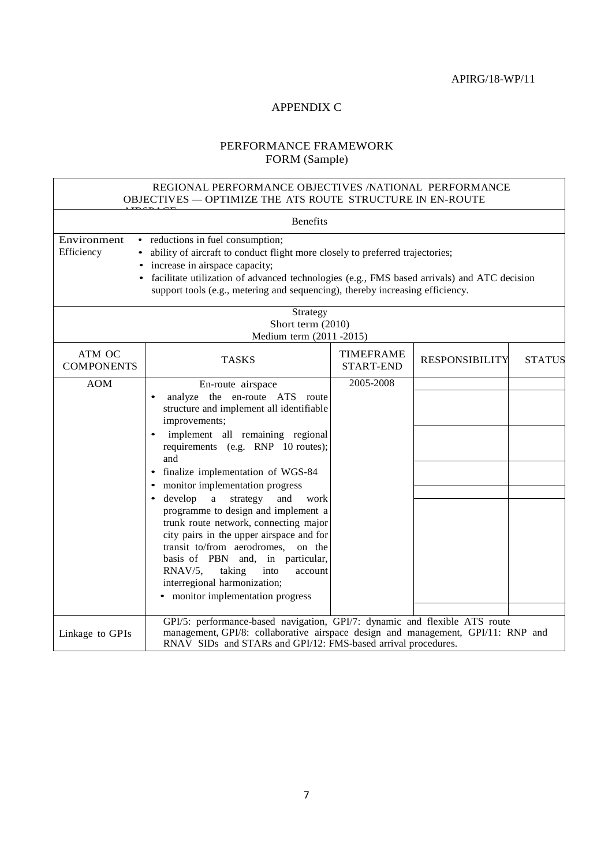#### APPENDIX C

# PERFORMANCE FRAMEWORK FORM (Sample)

#### REGIONAL PERFORMANCE OBJECTIVES /NATIONAL PERFORMANCE OBJECTIVES — OPTIMIZE THE ATS ROUTE STRUCTURE IN EN-ROUTE

| <b>Benefits</b>                                                                                                                                                                                                                                                                                                                                                         |                                                                                                                                                                                                                                                                                                                                                                                                                                                                                                                                                                                                                                            |                                      |                       |               |
|-------------------------------------------------------------------------------------------------------------------------------------------------------------------------------------------------------------------------------------------------------------------------------------------------------------------------------------------------------------------------|--------------------------------------------------------------------------------------------------------------------------------------------------------------------------------------------------------------------------------------------------------------------------------------------------------------------------------------------------------------------------------------------------------------------------------------------------------------------------------------------------------------------------------------------------------------------------------------------------------------------------------------------|--------------------------------------|-----------------------|---------------|
| Environment<br>• reductions in fuel consumption;<br>Efficiency<br>• ability of aircraft to conduct flight more closely to preferred trajectories;<br>• increase in airspace capacity;<br>• facilitate utilization of advanced technologies (e.g., FMS based arrivals) and ATC decision<br>support tools (e.g., metering and sequencing), thereby increasing efficiency. |                                                                                                                                                                                                                                                                                                                                                                                                                                                                                                                                                                                                                                            |                                      |                       |               |
| Strategy<br>Short term (2010)<br>Medium term (2011-2015)                                                                                                                                                                                                                                                                                                                |                                                                                                                                                                                                                                                                                                                                                                                                                                                                                                                                                                                                                                            |                                      |                       |               |
| ATM OC<br><b>COMPONENTS</b>                                                                                                                                                                                                                                                                                                                                             | <b>TASKS</b>                                                                                                                                                                                                                                                                                                                                                                                                                                                                                                                                                                                                                               | <b>TIMEFRAME</b><br><b>START-END</b> | <b>RESPONSIBILITY</b> | <b>STATUS</b> |
| <b>AOM</b>                                                                                                                                                                                                                                                                                                                                                              | En-route airspace<br>analyze the en-route ATS route<br>structure and implement all identifiable<br>improvements;<br>implement all remaining regional<br>requirements (e.g. RNP 10 routes);<br>and<br>finalize implementation of WGS-84<br>monitor implementation progress<br>develop<br>a<br>strategy<br>and<br>work<br>programme to design and implement a<br>trunk route network, connecting major<br>city pairs in the upper airspace and for<br>transit to/from aerodromes,<br>on the<br>basis of PBN and, in particular,<br>RNAV/5,<br>taking<br>into<br>account<br>interregional harmonization;<br>• monitor implementation progress | 2005-2008                            |                       |               |
| Linkage to GPIs                                                                                                                                                                                                                                                                                                                                                         | GPI/5: performance-based navigation, GPI/7: dynamic and flexible ATS route<br>management, GPI/8: collaborative airspace design and management, GPI/11: RNP and<br>RNAV SIDs and STARs and GPI/12: FMS-based arrival procedures.                                                                                                                                                                                                                                                                                                                                                                                                            |                                      |                       |               |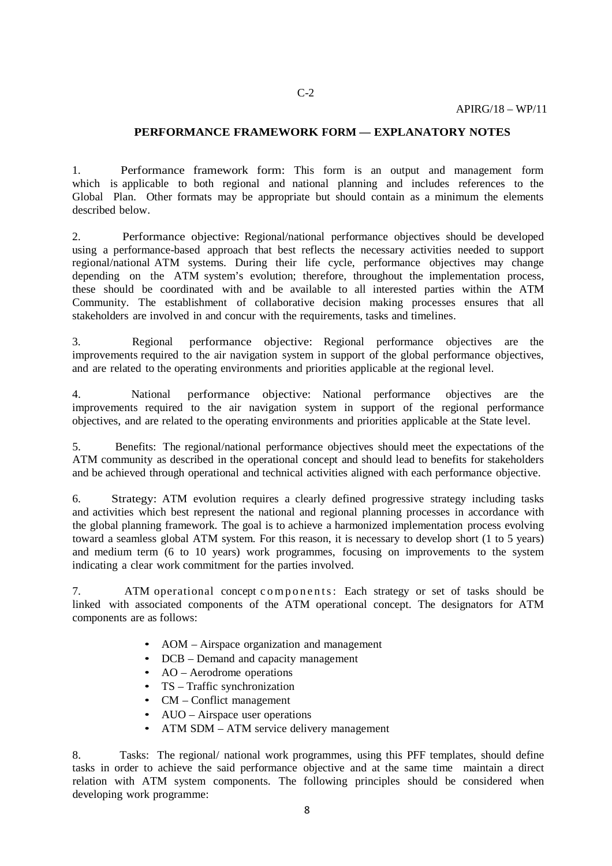#### **PERFORMANCE FRAMEWORK FORM — EXPLANATORY NOTES**

1. Performance framework form: This form is an output and management form which is applicable to both regional and national planning and includes references to the Global Plan. Other formats may be appropriate but should contain as a minimum the elements described below.

2. Performance objective: Regional/national performance objectives should be developed using a performance-based approach that best reflects the necessary activities needed to support regional/national ATM systems. During their life cycle, performance objectives may change depending on the ATM system's evolution; therefore, throughout the implementation process, these should be coordinated with and be available to all interested parties within the ATM Community. The establishment of collaborative decision making processes ensures that all stakeholders are involved in and concur with the requirements, tasks and timelines.

3. Regional performance objective: Regional performance objectives are the improvements required to the air navigation system in support of the global performance objectives, and are related to the operating environments and priorities applicable at the regional level.

4. National performance objective: National performance objectives are the improvements required to the air navigation system in support of the regional performance objectives, and are related to the operating environments and priorities applicable at the State level.

5. Benefits: The regional/national performance objectives should meet the expectations of the ATM community as described in the operational concept and should lead to benefits for stakeholders and be achieved through operational and technical activities aligned with each performance objective.

6. Strategy: ATM evolution requires a clearly defined progressive strategy including tasks and activities which best represent the national and regional planning processes in accordance with the global planning framework. The goal is to achieve a harmonized implementation process evolving toward a seamless global ATM system. For this reason, it is necessary to develop short (1 to 5 years) and medium term (6 to 10 years) work programmes, focusing on improvements to the system indicating a clear work commitment for the parties involved.

7. ATM operational concept components : Each strategy or set of tasks should be linked with associated components of the ATM operational concept. The designators for ATM components are as follows:

- AOM Airspace organization and management
- DCB Demand and capacity management
- AO Aerodrome operations
- TS Traffic synchronization
- CM Conflict management
- AUO Airspace user operations
- ATM SDM ATM service delivery management

8. Tasks: The regional/ national work programmes, using this PFF templates, should define tasks in order to achieve the said performance objective and at the same time maintain a direct relation with ATM system components. The following principles should be considered when developing work programme: